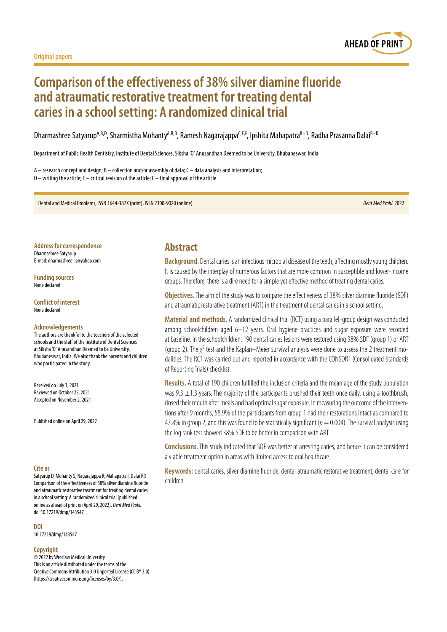

# **Comparison of the effectiveness of 38% silver diamine fluoride and atraumatic restorative treatment for treating dental caries in a school setting: A randomized clinical trial**

Dharmashree Satyarup<sup>A,B,D</sup>, Sharmistha Mohanty<sup>A,B,D</sup>, Ramesh Nagarajappa<sup>C,E,F</sup>, Ipshita Mahapatra<sup>B–D</sup>, Radha Prasanna Dalai<sup>B–D</sup>

Department of Public Health Dentistry, Institute of Dental Sciences, Siksha 'O' Anusandhan Deemed to be University, Bhubaneswar, India

A – research concept and design; B – collection and/or assembly of data; C – data analysis and interpretation;  $D$  – writing the article; E – critical revision of the article; F – final approval of the article

Dental and Medical Problems, ISSN 1644-387X (print), ISSN 2300-9020 (online) *Dent Med Probl.* 2022

**Address for correspondence** Dharmashree Satyarup

E-mail: dharmashree\_s@yahoo.com

**Funding sources** None declared

**Conflict of interest** None declared

#### **Acknowledgements**

The authors are thankful to the teachers of the selected schools and the staff of the Institute of Dental Sciences at Siksha 'O' Anusandhan Deemed to be University, Bhubaneswar, India. We also thank the parents and children who participated in the study.

Received on July 3, 2021 Reviewed on October 25, 2021 Accepted on November 2, 2021

Published online on April 29, 2022

#### **Cite as**

Satyarup D, Mohanty S, Nagarajappa R, Mahapatra I, Dalai RP. Comparison of the effectiveness of 38% silver diamine fluoride and atraumatic restorative treatment for treating dental caries in a school setting: A randomized clinical trial [published online as ahead of print on April 29, 2022]. *Dent Med Probl.* doi:10.17219/dmp/143547

**DOI**

10.17219/dmp/143547

#### **Copyright**

© 2022 by Wroclaw Medical University This is an article distributed under the terms of the Creative Commons Attribution 3.0 Unported License (CC BY 3.0) [\(https://creativecommons.org/licenses/by/3.0/\)](https://creativecommons.org/licenses/by/3.0/).

## **Abstract**

**Background.** Dental caries is an infectious microbial disease of the teeth, affecting mostly young children. It is caused by the interplay of numerous factors that are more common in susceptible and lower-income groups. Therefore, there is a dire need for a simple yet effective method of treating dental caries.

**Objectives.** The aim of the study was to compare the effectiveness of 38% silver diamine fluoride (SDF) and atraumatic restorative treatment (ART) in the treatment of dental caries in a school setting.

**Material and methods.** A randomized clinical trial (RCT) using a parallel-group design was conducted among schoolchildren aged 6–12 years. Oral hygiene practices and sugar exposure were recorded at baseline. In the schoolchildren, 190 dental caries lesions were restored using 38% SDF (group 1) or ART (group 2). The *χ*<sup>2</sup> test and the Kaplan–Meier survival analysis were done to assess the 2 treatment modalities. The RCT was carried out and reported in accordance with the CONSORT (Consolidated Standards of Reporting Trials) checklist.

**Results.** A total of 190 children fulfilled the inclusion criteria and the mean age of the study population was 9.3  $\pm$ 1.3 years. The majority of the participants brushed their teeth once daily, using a toothbrush, rinsed their mouth after meals and had optimal sugar exposure. In measuring the outcome of the interventions after 9 months, 58.9% of the participants from group 1 had their restorations intact as compared to 47.8% in group 2, and this was found to be statistically significant ( $p = 0.004$ ). The survival analysis using the log rank test showed 38% SDF to be better in comparison with ART.

**Conclusions.**This study indicated that SDF was better at arresting caries, and hence it can be considered a viable treatment option in areas with limited access to oral healthcare.

**Keywords:** dental caries, silver diamine fluoride, dental atraumatic restorative treatment, dental care for children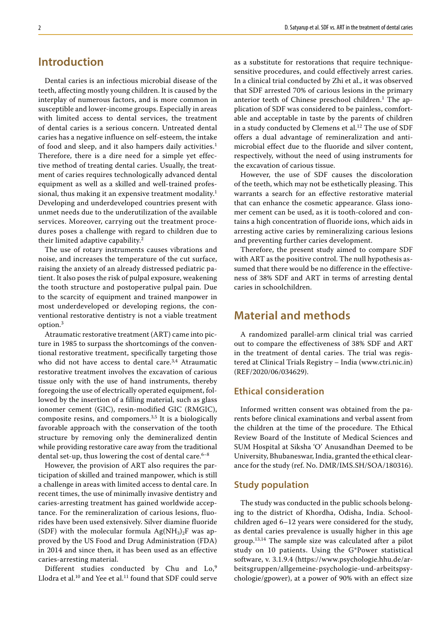## **Introduction**

Dental caries is an infectious microbial disease of the teeth, affecting mostly young children. It is caused by the interplay of numerous factors, and is more common in susceptible and lower-income groups. Especially in areas with limited access to dental services, the treatment of dental caries is a serious concern. Untreated dental caries has a negative influence on self-esteem, the intake of food and sleep, and it also hampers daily activities.<sup>1</sup> Therefore, there is a dire need for a simple yet effective method of treating dental caries. Usually, the treatment of caries requires technologically advanced dental equipment as well as a skilled and well-trained professional, thus making it an expensive treatment modality.<sup>1</sup> Developing and underdeveloped countries present with unmet needs due to the underutilization of the available services. Moreover, carrying out the treatment procedures poses a challenge with regard to children due to their limited adaptive capability.<sup>2</sup>

The use of rotary instruments causes vibrations and noise, and increases the temperature of the cut surface, raising the anxiety of an already distressed pediatric patient. It also poses the risk of pulpal exposure, weakening the tooth structure and postoperative pulpal pain. Due to the scarcity of equipment and trained manpower in most underdeveloped or developing regions, the conventional restorative dentistry is not a viable treatment option.<sup>3</sup>

Atraumatic restorative treatment (ART) came into picture in 1985 to surpass the shortcomings of the conventional restorative treatment, specifically targeting those who did not have access to dental care.<sup>3,4</sup> Atraumatic restorative treatment involves the excavation of carious tissue only with the use of hand instruments, thereby foregoing the use of electrically operated equipment, followed by the insertion of a filling material, such as glass ionomer cement (GIC), resin-modified GIC (RMGIC), composite resins, and compomers. $3,5$  It is a biologically favorable approach with the conservation of the tooth structure by removing only the demineralized dentin while providing restorative care away from the traditional dental set-up, thus lowering the cost of dental care. $6-8$ 

However, the provision of ART also requires the participation of skilled and trained manpower, which is still a challenge in areas with limited access to dental care. In recent times, the use of minimally invasive dentistry and caries-arresting treatment has gained worldwide acceptance. For the remineralization of carious lesions, fluorides have been used extensively. Silver diamine fluoride (SDF) with the molecular formula  $Ag(NH_3)_2F$  was approved by the US Food and Drug Administration (FDA) in 2014 and since then, it has been used as an effective caries-arresting material.

Different studies conducted by Chu and Lo,<sup>9</sup> Llodra et al.<sup>10</sup> and Yee et al.<sup>11</sup> found that SDF could serve as a substitute for restorations that require techniquesensitive procedures, and could effectively arrest caries. In a clinical trial conducted by Zhi et al., it was observed that SDF arrested 70% of carious lesions in the primary anterior teeth of Chinese preschool children.<sup>1</sup> The application of SDF was considered to be painless, comfortable and acceptable in taste by the parents of children in a study conducted by Clemens et al.<sup>12</sup> The use of SDF offers a dual advantage of remineralization and antimicrobial effect due to the fluoride and silver content, respectively, without the need of using instruments for the excavation of carious tissue.

However, the use of SDF causes the discoloration of the teeth, which may not be esthetically pleasing. This warrants a search for an effective restorative material that can enhance the cosmetic appearance. Glass ionomer cement can be used, as it is tooth-colored and contains a high concentration of fluoride ions, which aids in arresting active caries by remineralizing carious lesions and preventing further caries development.

Therefore, the present study aimed to compare SDF with ART as the positive control. The null hypothesis assumed that there would be no difference in the effectiveness of 38% SDF and ART in terms of arresting dental caries in schoolchildren.

## **Material and methods**

A randomized parallel-arm clinical trial was carried out to compare the effectiveness of 38% SDF and ART in the treatment of dental caries. The trial was registered at Clinical Trials Registry – India (www.ctri.nic.in) (REF/2020/06/034629).

### **Ethical consideration**

Informed written consent was obtained from the parents before clinical examinations and verbal assent from the children at the time of the procedure. The Ethical Review Board of the Institute of Medical Sciences and SUM Hospital at Siksha 'O' Anusandhan Deemed to be University, Bhubaneswar, India, granted the ethical clearance for the study (ref. No. DMR/IMS.SH/SOA/180316).

#### **Study population**

The study was conducted in the public schools belonging to the district of Khordha, Odisha, India. Schoolchildren aged 6–12 years were considered for the study, as dental caries prevalence is usually higher in this age group.13,14 The sample size was calculated after a pilot study on 10 patients. Using the G\*Power statistical software, v. 3.1.9.4 ([https://www.psychologie.hhu.de/ar](https://www.psychologie.hhu.de/arbeitsgruppen/allgemeine-psychologie-und-arbeitspsychologie/gpower)[beitsgruppen/allgemeine-psychologie-und-arbeitspsy](https://www.psychologie.hhu.de/arbeitsgruppen/allgemeine-psychologie-und-arbeitspsychologie/gpower)[chologie/gpower](https://www.psychologie.hhu.de/arbeitsgruppen/allgemeine-psychologie-und-arbeitspsychologie/gpower)), at a power of 90% with an effect size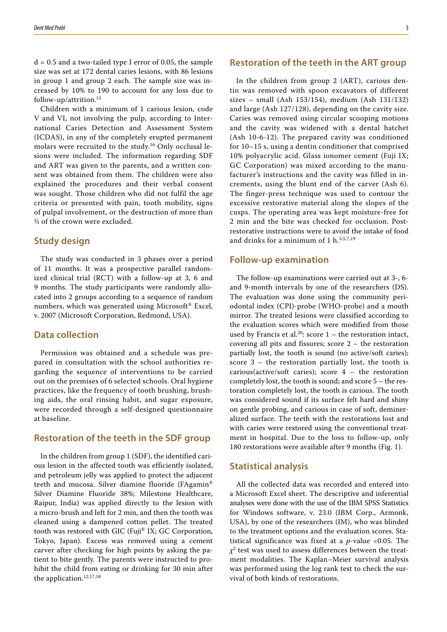$d = 0.5$  and a two-tailed type I error of 0.05, the sample size was set at 172 dental caries lesions, with 86 lesions in group 1 and group 2 each. The sample size was increased by 10% to 190 to account for any loss due to follow-up/attrition.<sup>15</sup>

Children with a minimum of 1 carious lesion, code V and VI, not involving the pulp, according to International Caries Detection and Assessment System (ICDAS), in any of the completely erupted permanent molars were recruited to the study.16 Only occlusal lesions were included. The information regarding SDF and ART was given to the parents, and a written consent was obtained from them. The children were also explained the procedures and their verbal consent was sought. Those children who did not fulfil the age criteria or presented with pain, tooth mobility, signs of pulpal involvement, or the destruction of more than ⅓ of the crown were excluded.

#### **Study design**

The study was conducted in 3 phases over a period of 11 months. It was a prospective parallel randomized clinical trial (RCT) with a follow-up at 3, 6 and 9 months. The study participants were randomly allocated into 2 groups according to a sequence of random numbers, which was generated using Microsoft® Excel, v. 2007 (Microsoft Corporation, Redmond, USA).

#### **Data collection**

Permission was obtained and a schedule was prepared in consultation with the school authorities regarding the sequence of interventions to be carried out on the premises of 6 selected schools. Oral hygiene practices, like the frequency of tooth brushing, brushing aids, the oral rinsing habit, and sugar exposure, were recorded through a self-designed questionnaire at baseline.

#### **Restoration of the teeth in the SDF group**

In the children from group 1 (SDF), the identified carious lesion in the affected tooth was efficiently isolated, and petroleum jelly was applied to protect the adjacent teeth and mucosa. Silver diamine fluoride (FAgamin® Silver Diamine Fluoride 38%; Milestone Healthcare, Raipur, India) was applied directly to the lesion with a micro-brush and left for 2 min, and then the tooth was cleaned using a dampened cotton pellet. The treated tooth was restored with GIC (Fuji® IX; GC Corporation, Tokyo, Japan). Excess was removed using a cement carver after checking for high points by asking the patient to bite gently. The parents were instructed to prohibit the child from eating or drinking for 30 min after the application.<sup>12,17,18</sup>

### **Restoration of the teeth in the ART group**

In the children from group 2 (ART), carious dentin was removed with spoon excavators of different sizes – small (Ash 153/154), medium (Ash 131/132) and large (Ash 127/128), depending on the cavity size. Caries was removed using circular scooping motions and the cavity was widened with a dental hatchet (Ash 10-6-12). The prepared cavity was conditioned for 10–15 s, using a dentin conditioner that comprised 10% polyacrylic acid. Glass ionomer cement (Fuji IX; GC Corporation) was mixed according to the manufacturer's instructions and the cavity was filled in increments, using the blunt end of the carver (Ash 6). The finger-press technique was used to contour the excessive restorative material along the slopes of the cusps. The operating area was kept moisture-free for 2 min and the bite was checked for occlusion. Postrestorative instructions were to avoid the intake of food and drinks for a minimum of 1 h. $3,5,7,19$ 

#### **Follow-up examination**

The follow-up examinations were carried out at 3-, 6 and 9-month intervals by one of the researchers (DS). The evaluation was done using the community periodontal index (CPI)-probe (WHO-probe) and a mouth mirror. The treated lesions were classified according to the evaluation scores which were modified from those used by Francis et al.<sup>20</sup>: score  $1$  – the restoration intact, covering all pits and fissures; score 2 – the restoration partially lost, the tooth is sound (no active/soft caries); score 3 – the restoration partially lost, the tooth is carious(active/soft caries); score 4 – the restoration completely lost, the tooth is sound; and score 5 – the restoration completely lost, the tooth is carious. The tooth was considered sound if its surface felt hard and shiny on gentle probing, and carious in case of soft, demineralized surface. The teeth with the restorations lost and with caries were restored using the conventional treatment in hospital. Due to the loss to follow-up, only 180 restorations were available after 9 months (Fig. 1).

#### **Statistical analysis**

All the collected data was recorded and entered into a Microsoft Excel sheet. The descriptive and inferential analyses were done with the use of the IBM SPSS Statistics for Windows software, v. 23.0 (IBM Corp., Armonk, USA), by one of the researchers (IM), who was blinded to the treatment options and the evaluation scores. Statistical significance was fixed at a *p*-value <0.05. The *χ*2 test was used to assess differences between the treatment modalities. The Kaplan–Meier survival analysis was performed using the log rank test to check the survival of both kinds of restorations.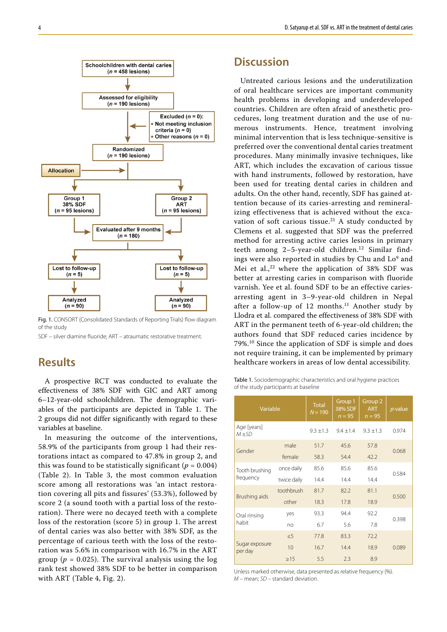

Fig. 1. CONSORT (Consolidated Standards of Reporting Trials) flow diagram of the study

SDF – silver diamine fluoride; ART – atraumatic restorative treatment.

## **Results**

A prospective RCT was conducted to evaluate the effectiveness of 38% SDF with GIC and ART among 6–12-year-old schoolchildren. The demographic variables of the participants are depicted in Table 1. The 2 groups did not differ significantly with regard to these variables at baseline.

In measuring the outcome of the interventions, 58.9% of the participants from group 1 had their restorations intact as compared to 47.8% in group 2, and this was found to be statistically significant ( $p = 0.004$ ) (Table 2). In Table 3, the most common evaluation score among all restorations was 'an intact restoration covering all pits and fissures' (53.3%), followed by score 2 (a sound tooth with a partial loss of the restoration). There were no decayed teeth with a complete loss of the restoration (score 5) in group 1. The arrest of dental caries was also better with 38% SDF, as the percentage of carious teeth with the loss of the restoration was 5.6% in comparison with 16.7% in the ART group ( $p = 0.025$ ). The survival analysis using the log rank test showed 38% SDF to be better in comparison with ART (Table 4, Fig. 2).

## **Discussion**

Untreated carious lesions and the underutilization of oral healthcare services are important community health problems in developing and underdeveloped countries. Children are often afraid of anesthetic procedures, long treatment duration and the use of numerous instruments. Hence, treatment involving minimal intervention that is less technique-sensitive is preferred over the conventional dental caries treatment procedures. Many minimally invasive techniques, like ART, which includes the excavation of carious tissue with hand instruments, followed by restoration, have been used for treating dental caries in children and adults. On the other hand, recently, SDF has gained attention because of its caries-arresting and remineralizing effectiveness that is achieved without the excavation of soft carious tissue. $21$  A study conducted by Clemens et al. suggested that SDF was the preferred method for arresting active caries lesions in primary teeth among 2-5-year-old children.<sup>12</sup> Similar findings were also reported in studies by Chu and  $Lo<sup>9</sup>$  and Mei et al., $22$  where the application of 38% SDF was better at arresting caries in comparison with fluoride varnish. Yee et al. found SDF to be an effective cariesarresting agent in 3–9-year-old children in Nepal after a follow-up of  $12$  months.<sup>11</sup> Another study by Llodra et al. compared the effectiveness of 38% SDF with ART in the permanent teeth of 6-year-old children; the authors found that SDF reduced caries incidence by 79%.10 Since the application of SDF is simple and does not require training, it can be implemented by primary healthcare workers in areas of low dental accessibility.

Table 1. Sociodemographic characteristics and oral hygiene practices of the study participants at baseline

| Variable                    |             | <b>Total</b><br>$N = 190$ | Group 1<br>38% SDF<br>$n = 95$ | Group <sub>2</sub><br><b>ART</b><br>$n = 95$ | <i>p</i> -value |  |
|-----------------------------|-------------|---------------------------|--------------------------------|----------------------------------------------|-----------------|--|
| Age [years]<br>$M \pm SD$   |             | $9.3 \pm 1.3$             | $9.4 \pm 1.4$                  | $9.3 \pm 1.3$                                | 0.974           |  |
| Gender                      | male        | 51.7                      | 45.6                           | 57.8                                         | 0.068           |  |
|                             | female      | 58.3                      | 54.4                           | 42.2                                         |                 |  |
| Tooth brushing<br>frequency | once daily  | 85.6                      | 85.6                           | 85.6                                         | 0.584           |  |
|                             | twice daily | 14.4                      | 14.4                           | 14.4                                         |                 |  |
| Brushing aids               | toothbrush  | 81.7                      | 82.2                           | 81.1                                         | 0.500           |  |
|                             | other       | 18.3                      | 17.8                           | 18.9                                         |                 |  |
| Oral rinsing<br>habit       | yes         | 93.3                      | 94.4                           | 92.2                                         | 0.398           |  |
|                             | no          | 6.7                       | 5.6                            | 7.8                                          |                 |  |
| Sugar exposure<br>per day   | $\leq 5$    | 77.8                      | 83.3                           | 72.2                                         |                 |  |
|                             | 10          | 16.7                      | 14.4                           | 18.9                                         | 0.089           |  |
|                             | >15         | 5.5                       | 2.3                            | 8.9                                          |                 |  |

Unless marked otherwise, data presented as relative frequency (%). *M* – mean; *SD* – standard deviation.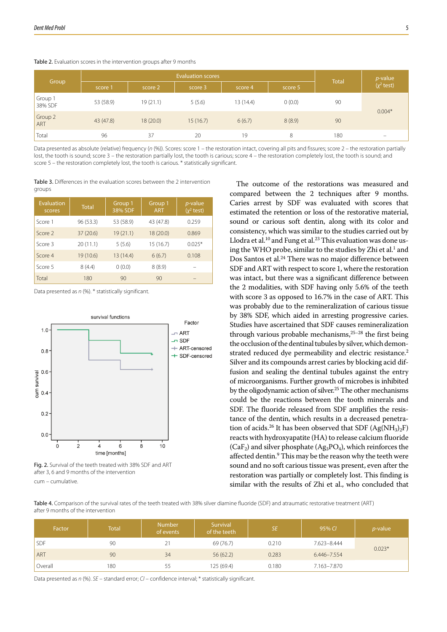#### Table 2. Evaluation scores in the intervention groups after 9 months

| Group              | <b>Evaluation scores</b> |          |          |           |         | <b>Total</b> | <i>p</i> -value |
|--------------------|--------------------------|----------|----------|-----------|---------|--------------|-----------------|
|                    | score 1                  | score 2  | score 3  | score 4   | score 5 |              | $(x^2$ test)    |
| Group 1<br>38% SDF | 53 (58.9)                | 19(21.1) | 5(5.6)   | 13 (14.4) | 0(0.0)  | 90           | $0.004*$        |
| Group 2<br>ART     | 43 (47.8)                | 18(20.0) | 15(16.7) | 6(6.7)    | 8(8.9)  | 90           |                 |
| Total              | 96                       | 37       | 20       | 19        | 8       | 180          | -               |

Data presented as absolute (relative) frequency (n (%)). Scores: score 1 – the restoration intact, covering all pits and fissures; score 2 – the restoration partially lost, the tooth is sound; score 3 – the restoration partially lost, the tooth is carious; score 4 – the restoration completely lost, the tooth is sound; and score 5 – the restoration completely lost, the tooth is carious. \* statistically significant.

Table 3. Differences in the evaluation scores between the 2 intervention groups

| <b>Evaluation</b><br>scores | <b>Total</b> | Group 1<br>38% SDF | Group 1<br><b>ART</b> | <i>p</i> -value<br>$(x^2$ test) |
|-----------------------------|--------------|--------------------|-----------------------|---------------------------------|
| Score 1                     | 96 (53.3)    | 53 (58.9)          | 43 (47.8)             | 0.259                           |
| Score <sub>2</sub>          | 37(20.6)     | 19(21.1)           | 18 (20.0)             | 0.869                           |
| Score 3                     | 20(11.1)     | 5(5.6)             | 15(16.7)              | $0.025*$                        |
| Score 4                     | 19 (10.6)    | 13 (14.4)          | 6(6.7)                | 0.108                           |
| Score 5                     | 8(4.4)       | 0(0.0)             | 8(8.9)                |                                 |
| Total                       | 180          | 90                 | 90                    |                                 |

Data presented as *n* (%). \* statistically significant.





The outcome of the restorations was measured and compared between the 2 techniques after 9 months. Caries arrest by SDF was evaluated with scores that estimated the retention or loss of the restorative material, sound or carious soft dentin, along with its color and consistency, which was similar to the studies carried out by Llodra et al.<sup>10</sup> and Fung et al.<sup>23</sup> This evaluation was done using the WHO probe, similar to the studies by Zhi et al. $^1$  and Dos Santos et al.24 There was no major difference between SDF and ART with respect to score 1, where the restoration was intact, but there was a significant difference between the 2 modalities, with SDF having only 5.6% of the teeth with score 3 as opposed to 16.7% in the case of ART. This was probably due to the remineralization of carious tissue by 38% SDF, which aided in arresting progressive caries. Studies have ascertained that SDF causes remineralization through various probable mechanisms, $25-28$  the first being the occlusion of the dentinal tubules by silver, which demonstrated reduced dye permeability and electric resistance.<sup>2</sup> Silver and its compounds arrest caries by blocking acid diffusion and sealing the dentinal tubules against the entry of microorganisms. Further growth of microbes is inhibited by the oligodynamic action of silver.25 The other mechanisms could be the reactions between the tooth minerals and SDF. The fluoride released from SDF amplifies the resistance of the dentin, which results in a decreased penetration of acids.<sup>26</sup> It has been observed that SDF (Ag(NH<sub>3</sub>)<sub>2</sub>F) reacts with hydroxyapatite (HA) to release calcium fluoride  $(CaF_2)$  and silver phosphate  $(Ag_3PO_4)$ , which reinforces the affected dentin.<sup>9</sup> This may be the reason why the teeth were sound and no soft carious tissue was present, even after the restoration was partially or completely lost. This finding is similar with the results of Zhi et al., who concluded that

Table 4. Comparison of the survival rates of the teeth treated with 38% silver diamine fluoride (SDF) and atraumatic restorative treatment (ART) after 9 months of the intervention

| Factor     | Total | <b>Number</b><br>of events | Survival<br>of the teeth | <b>SE</b> | 95% CI      | $p$ -value |  |
|------------|-------|----------------------------|--------------------------|-----------|-------------|------------|--|
| <b>SDF</b> | 90    | 21                         | 69 (76.7)                | 0.210     | 7.623-8.444 |            |  |
| ART        | 90    | 34                         | 56(62.2)                 | 0.283     | 6.446-7.554 | $0.023*$   |  |
| Overall    | 180   | 55                         | 125 (69.4)               | 0.180     | 7.163-7.870 |            |  |

Data presented as *n* (%). *SE* – standard error; *CI* – confidence interval; \* statistically significant.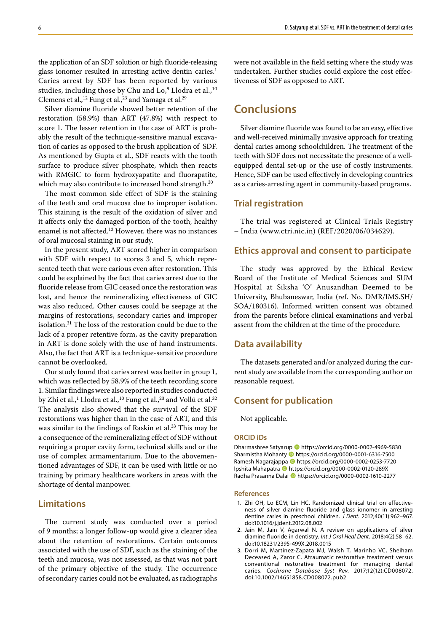the application of an SDF solution or high fluoride-releasing glass ionomer resulted in arresting active dentin caries.<sup>1</sup> Caries arrest by SDF has been reported by various studies, including those by Chu and  $Lo<sup>9</sup>$  Llodra et al.,<sup>10</sup> Clemens et al.,<sup>12</sup> Fung et al.,<sup>23</sup> and Yamaga et al.<sup>29</sup>

Silver diamine fluoride showed better retention of the restoration (58.9%) than ART (47.8%) with respect to score 1. The lesser retention in the case of ART is probably the result of the technique-sensitive manual excavation of caries as opposed to the brush application of SDF. As mentioned by Gupta et al., SDF reacts with the tooth surface to produce silver phosphate, which then reacts with RMGIC to form hydroxyapatite and fluorapatite, which may also contribute to increased bond strength.<sup>30</sup>

The most common side effect of SDF is the staining of the teeth and oral mucosa due to improper isolation. This staining is the result of the oxidation of silver and it affects only the damaged portion of the tooth; healthy enamel is not affected.<sup>12</sup> However, there was no instances of oral mucosal staining in our study.

In the present study, ART scored higher in comparison with SDF with respect to scores 3 and 5, which represented teeth that were carious even after restoration. This could be explained by the fact that caries arrest due to the fluoride release from GIC ceased once the restoration was lost, and hence the remineralizing effectiveness of GIC was also reduced. Other causes could be seepage at the margins of restorations, secondary caries and improper isolation.31 The loss of the restoration could be due to the lack of a proper retentive form, as the cavity preparation in ART is done solely with the use of hand instruments. Also, the fact that ART is a technique-sensitive procedure cannot be overlooked.

Our study found that caries arrest was better in group 1, which was reflected by 58.9% of the teeth recording score 1. Similar findings were also reported in studies conducted by Zhi et al.,<sup>1</sup> Llodra et al.,<sup>10</sup> Fung et al.,<sup>23</sup> and Vollú et al.<sup>32</sup> The analysis also showed that the survival of the SDF restorations was higher than in the case of ART, and this was similar to the findings of Raskin et al.<sup>33</sup> This may be a consequence of the remineralizing effect of SDF without requiring a proper cavity form, technical skills and or the use of complex armamentarium. Due to the abovementioned advantages of SDF, it can be used with little or no training by primary healthcare workers in areas with the shortage of dental manpower.

#### **Limitations**

The current study was conducted over a period of 9 months; a longer follow-up would give a clearer idea about the retention of restorations. Certain outcomes associated with the use of SDF, such as the staining of the teeth and mucosa, was not assessed, as that was not part of the primary objective of the study. The occurrence of secondary caries could not be evaluated, as radiographs

were not available in the field setting where the study was undertaken. Further studies could explore the cost effectiveness of SDF as opposed to ART.

## **Conclusions**

Silver diamine fluoride was found to be an easy, effective and well-received minimally invasive approach for treating dental caries among schoolchildren. The treatment of the teeth with SDF does not necessitate the presence of a wellequipped dental set-up or the use of costly instruments. Hence, SDF can be used effectively in developing countries as a caries-arresting agent in community-based programs.

#### **Trial registration**

The trial was registered at Clinical Trials Registry – India (www.ctri.nic.in) (REF/2020/06/034629).

#### **Ethics approval and consent to participate**

The study was approved by the Ethical Review Board of the Institute of Medical Sciences and SUM Hospital at Siksha 'O' Anusandhan Deemed to be University, Bhubaneswar, India (ref. No. DMR/IMS.SH/ SOA/180316). Informed written consent was obtained from the parents before clinical examinations and verbal assent from the children at the time of the procedure.

#### **Data availability**

The datasets generated and/or analyzed during the current study are available from the corresponding author on reasonable request.

### **Consent for publication**

Not applicable.

#### **ORCID iDs**

Dharmashree Satyarup https://orcid.org/0000-0002-4969-5830 Sharmistha Mohanty **b** https://orcid.org/0000-0001-6316-7500 Ramesh Nagarajappa **ID** https://orcid.org/0000-0002-0253-7720 Ipshita Mahapatra **ID** https://orcid.org/0000-0002-0120-289X Radha Prasanna Dalai <sup>1</sup> https://orcid.org/0000-0002-1610-2277

#### **References**

- 1. Zhi QH, Lo ECM, Lin HC. Randomized clinical trial on effectiveness of silver diamine fluoride and glass ionomer in arresting dentine caries in preschool children. *J Dent*. 2012;40(11):962–967. doi:10.1016/j.jdent.2012.08.002
- 2. Jain M, Jain V, Agarwal N. A review on applications of silver diamine fluoride in dentistry. *Int J Oral Heal Dent*. 2018;4(2):58–62. doi:10.18231/2395-499X.2018.0015
- 3. Dorri M, Martinez-Zapata MJ, Walsh T, Marinho VC, Sheiham Deceased A, Zaror C. Atraumatic restorative treatment versus conventional restorative treatment for managing dental caries. *Cochrane Database Syst Rev*. 2017;12(12):CD008072. doi:10.1002/14651858.CD008072.pub2